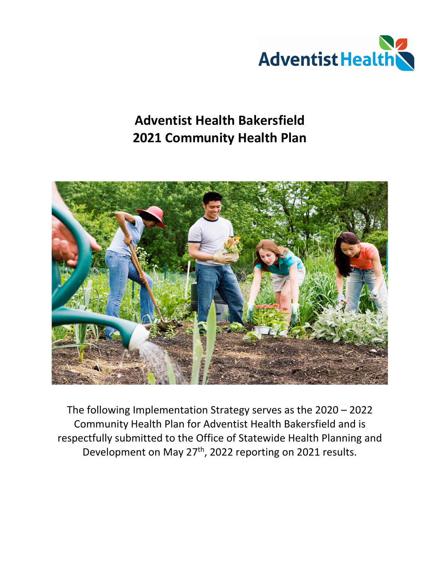

**Adventist Health Bakersfield 2021 Community Health Plan**



The following Implementation Strategy serves as the 2020 – 2022 Community Health Plan for Adventist Health Bakersfield and is respectfully submitted to the Office of Statewide Health Planning and Development on May 27<sup>th</sup>, 2022 reporting on 2021 results.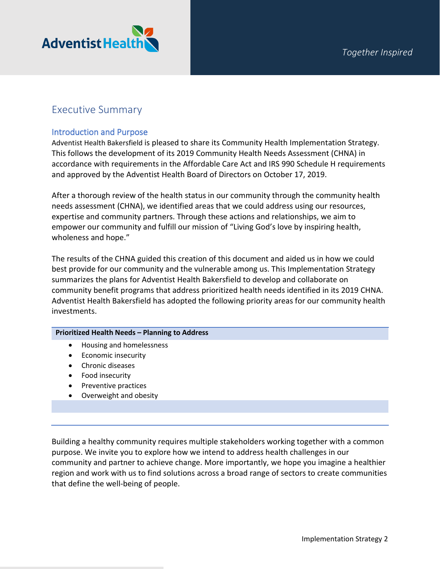

## Executive Summary

#### Introduction and Purpose

Adventist Health Bakersfield is pleased to share its Community Health Implementation Strategy. This follows the development of its 2019 Community Health Needs Assessment (CHNA) in accordance with requirements in the Affordable Care Act and IRS 990 Schedule H requirements and approved by the Adventist Health Board of Directors on October 17, 2019.

After a thorough review of the health status in our community through the community health needs assessment (CHNA), we identified areas that we could address using our resources, expertise and community partners. Through these actions and relationships, we aim to empower our community and fulfill our mission of "Living God's love by inspiring health, wholeness and hope."

The results of the CHNA guided this creation of this document and aided us in how we could best provide for our community and the vulnerable among us. This Implementation Strategy summarizes the plans for Adventist Health Bakersfield to develop and collaborate on community benefit programs that address prioritized health needs identified in its 2019 CHNA. Adventist Health Bakersfield has adopted the following priority areas for our community health investments.

#### **Prioritized Health Needs – Planning to Address**

- Housing and homelessness
- Economic insecurity
- Chronic diseases
- Food insecurity
- Preventive practices
- Overweight and obesity

Building a healthy community requires multiple stakeholders working together with a common purpose. We invite you to explore how we intend to address health challenges in our community and partner to achieve change. More importantly, we hope you imagine a healthier region and work with us to find solutions across a broad range of sectors to create communities that define the well-being of people.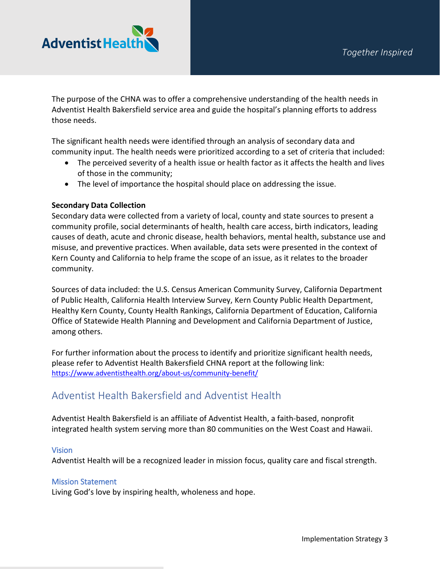

The purpose of the CHNA was to offer a comprehensive understanding of the health needs in Adventist Health Bakersfield service area and guide the hospital's planning efforts to address those needs.

The significant health needs were identified through an analysis of secondary data and community input. The health needs were prioritized according to a set of criteria that included:

- The perceived severity of a health issue or health factor as it affects the health and lives of those in the community;
- The level of importance the hospital should place on addressing the issue.

#### **Secondary Data Collection**

Secondary data were collected from a variety of local, county and state sources to present a community profile, social determinants of health, health care access, birth indicators, leading causes of death, acute and chronic disease, health behaviors, mental health, substance use and misuse, and preventive practices. When available, data sets were presented in the context of Kern County and California to help frame the scope of an issue, as it relates to the broader community.

Sources of data included: the U.S. Census American Community Survey, California Department of Public Health, California Health Interview Survey, Kern County Public Health Department, Healthy Kern County, County Health Rankings, California Department of Education, California Office of Statewide Health Planning and Development and California Department of Justice, among others.

For further information about the process to identify and prioritize significant health needs, please refer to Adventist Health Bakersfield CHNA report at the following link: <https://www.adventisthealth.org/about-us/community-benefit/>

# Adventist Health Bakersfield and Adventist Health

Adventist Health Bakersfield is an affiliate of Adventist Health, a faith-based, nonprofit integrated health system serving more than 80 communities on the West Coast and Hawaii.

#### Vision

Adventist Health will be a recognized leader in mission focus, quality care and fiscal strength.

#### Mission Statement

Living God's love by inspiring health, wholeness and hope.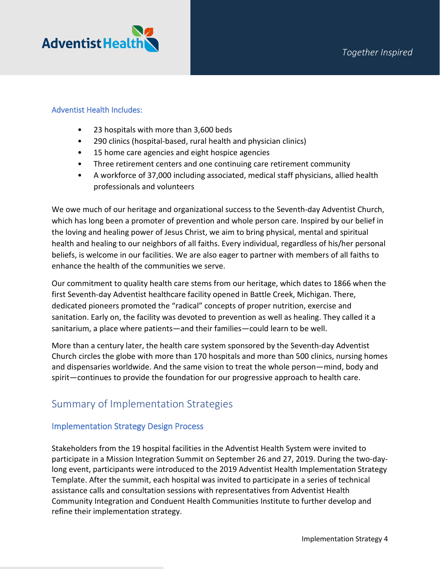

### Adventist Health Includes:

- 23 hospitals with more than 3,600 beds
- 290 clinics (hospital-based, rural health and physician clinics)
- 15 home care agencies and eight hospice agencies
- Three retirement centers and one continuing care retirement community
- A workforce of 37,000 including associated, medical staff physicians, allied health professionals and volunteers

We owe much of our heritage and organizational success to the Seventh-day Adventist Church, which has long been a promoter of prevention and whole person care. Inspired by our belief in the loving and healing power of Jesus Christ, we aim to bring physical, mental and spiritual health and healing to our neighbors of all faiths. Every individual, regardless of his/her personal beliefs, is welcome in our facilities. We are also eager to partner with members of all faiths to enhance the health of the communities we serve.

Our commitment to quality health care stems from our heritage, which dates to 1866 when the first Seventh-day Adventist healthcare facility opened in Battle Creek, Michigan. There, dedicated pioneers promoted the "radical" concepts of proper nutrition, exercise and sanitation. Early on, the facility was devoted to prevention as well as healing. They called it a sanitarium, a place where patients—and their families—could learn to be well.

More than a century later, the health care system sponsored by the Seventh-day Adventist Church circles the globe with more than 170 hospitals and more than 500 clinics, nursing homes and dispensaries worldwide. And the same vision to treat the whole person—mind, body and spirit—continues to provide the foundation for our progressive approach to health care.

# Summary of Implementation Strategies

## Implementation Strategy Design Process

Stakeholders from the 19 hospital facilities in the Adventist Health System were invited to participate in a Mission Integration Summit on September 26 and 27, 2019. During the two-daylong event, participants were introduced to the 2019 Adventist Health Implementation Strategy Template. After the summit, each hospital was invited to participate in a series of technical assistance calls and consultation sessions with representatives from Adventist Health Community Integration and Conduent Health Communities Institute to further develop and refine their implementation strategy.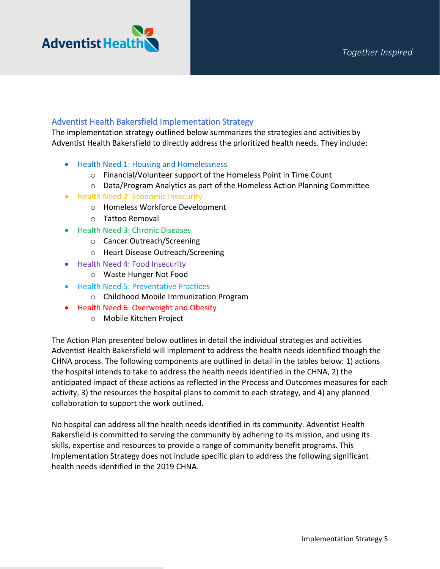

## Adventist Health Bakersfield Implementation Strategy

The implementation strategy outlined below summarizes the strategies and activities by Adventist Health Bakersfield to directly address the prioritized health needs. They include:

- Health Need 1: Housing and Homelessness
	- o Financial/Volunteer support of the Homeless Point in Time Count
	- o Data/Program Analytics as part of the Homeless Action Planning Committee
- Health Need 2: Economic Insecurity
	- o Homeless Workforce Development
	- o Tattoo Removal
- Health Need 3: Chronic Diseases
	- o Cancer Outreach/Screening
	- o Heart Disease Outreach/Screening
- Health Need 4: Food Insecurity
	- o Waste Hunger Not Food
- Health Need 5: Preventative Practices
	- o Childhood Mobile Immunization Program
- Health Need 6: Overweight and Obesity
	- o Mobile Kitchen Project

The Action Plan presented below outlines in detail the individual strategies and activities Adventist Health Bakersfield will implement to address the health needs identified though the CHNA process. The following components are outlined in detail in the tables below: 1) actions the hospital intends to take to address the health needs identified in the CHNA, 2) the anticipated impact of these actions as reflected in the Process and Outcomes measures for each activity, 3) the resources the hospital plans to commit to each strategy, and 4) any planned collaboration to support the work outlined.

No hospital can address all the health needs identified in its community. Adventist Health Bakersfield is committed to serving the community by adhering to its mission, and using its skills, expertise and resources to provide a range of community benefit programs. This Implementation Strategy does not include specific plan to address the following significant health needs identified in the 2019 CHNA.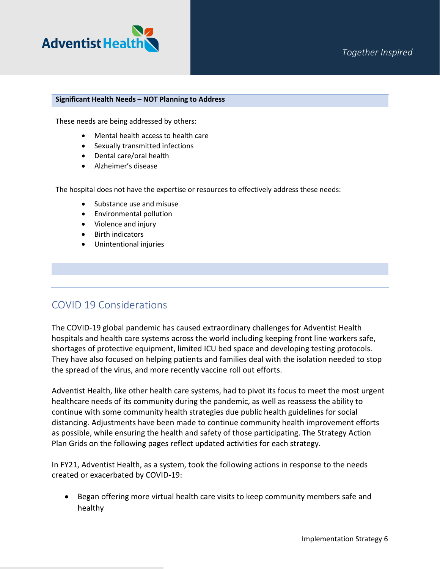



#### **Significant Health Needs – NOT Planning to Address**

These needs are being addressed by others:

- Mental health access to health care
- Sexually transmitted infections
- Dental care/oral health
- Alzheimer's disease

The hospital does not have the expertise or resources to effectively address these needs:

- Substance use and misuse
- Environmental pollution
- Violence and injury
- Birth indicators
- Unintentional injuries

## COVID 19 Considerations

The COVID-19 global pandemic has caused extraordinary challenges for Adventist Health hospitals and health care systems across the world including keeping front line workers safe, shortages of protective equipment, limited ICU bed space and developing testing protocols. They have also focused on helping patients and families deal with the isolation needed to stop the spread of the virus, and more recently vaccine roll out efforts.

Adventist Health, like other health care systems, had to pivot its focus to meet the most urgent healthcare needs of its community during the pandemic, as well as reassess the ability to continue with some community health strategies due public health guidelines for social distancing. Adjustments have been made to continue community health improvement efforts as possible, while ensuring the health and safety of those participating. The Strategy Action Plan Grids on the following pages reflect updated activities for each strategy.

In FY21, Adventist Health, as a system, took the following actions in response to the needs created or exacerbated by COVID-19:

• Began offering more virtual health care visits to keep community members safe and healthy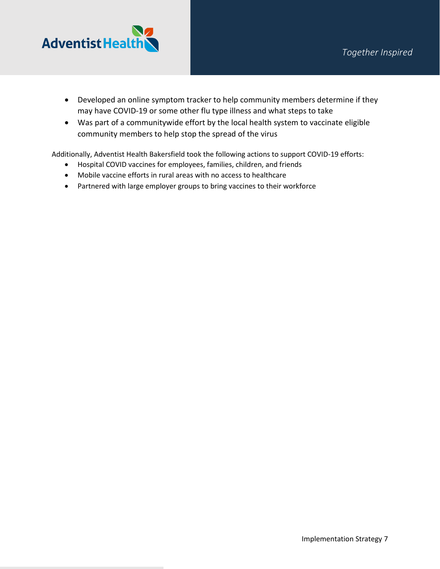

- Developed an online symptom tracker to help community members determine if they may have COVID-19 or some other flu type illness and what steps to take
- Was part of a communitywide effort by the local health system to vaccinate eligible community members to help stop the spread of the virus

Additionally, Adventist Health Bakersfield took the following actions to support COVID-19 efforts:

- Hospital COVID vaccines for employees, families, children, and friends
- Mobile vaccine efforts in rural areas with no access to healthcare
- Partnered with large employer groups to bring vaccines to their workforce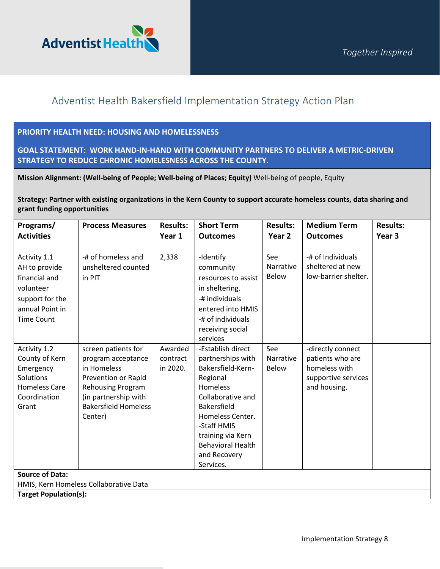

# Adventist Health Bakersfield Implementation Strategy Action Plan

#### **PRIORITY HEALTH NEED: HOUSING AND HOMELESSNESS**

**GOAL STATEMENT: WORK HAND-IN-HAND WITH COMMUNITY PARTNERS TO DELIVER A METRIC-DRIVEN STRATEGY TO REDUCE CHRONIC HOMELESNESS ACROSS THE COUNTY.**

**Mission Alignment: (Well-being of People; Well-being of Places; Equity)** Well-being of people, Equity

**Strategy: Partner with existing organizations in the Kern County to support accurate homeless counts, data sharing and grant funding opportunities** 

| Programs/                                                              | <b>Process Measures</b>     | <b>Results:</b> | <b>Short Term</b>        | <b>Results:</b>  | <b>Medium Term</b>   | <b>Results:</b>   |  |  |
|------------------------------------------------------------------------|-----------------------------|-----------------|--------------------------|------------------|----------------------|-------------------|--|--|
| <b>Activities</b>                                                      |                             | Year 1          | <b>Outcomes</b>          | Year 2           | <b>Outcomes</b>      | Year <sub>3</sub> |  |  |
|                                                                        |                             |                 |                          |                  |                      |                   |  |  |
| Activity 1.1                                                           | -# of homeless and          | 2,338           | -Identify                | See              | -# of Individuals    |                   |  |  |
| AH to provide                                                          | unsheltered counted         |                 | community                | Narrative        | sheltered at new     |                   |  |  |
| financial and                                                          | in PIT                      |                 | resources to assist      | Below            | low-barrier shelter. |                   |  |  |
| volunteer                                                              |                             |                 | in sheltering.           |                  |                      |                   |  |  |
| support for the                                                        |                             |                 | -# individuals           |                  |                      |                   |  |  |
| annual Point in                                                        |                             |                 | entered into HMIS        |                  |                      |                   |  |  |
| <b>Time Count</b>                                                      |                             |                 | -# of individuals        |                  |                      |                   |  |  |
|                                                                        |                             |                 | receiving social         |                  |                      |                   |  |  |
|                                                                        |                             |                 | services                 |                  |                      |                   |  |  |
| Activity 1.2                                                           | screen patients for         | Awarded         | -Establish direct        | See              | -directly connect    |                   |  |  |
| County of Kern                                                         | program acceptance          | contract        | partnerships with        | <b>Narrative</b> | patients who are     |                   |  |  |
| Emergency                                                              | in Homeless                 | in 2020.        | Bakersfield-Kern-        | <b>Below</b>     | homeless with        |                   |  |  |
| Solutions                                                              | Prevention or Rapid         |                 | Regional                 |                  | supportive services  |                   |  |  |
| <b>Homeless Care</b>                                                   | <b>Rehousing Program</b>    |                 | Homeless                 |                  | and housing.         |                   |  |  |
| Coordination                                                           | (in partnership with        |                 | Collaborative and        |                  |                      |                   |  |  |
| Grant                                                                  | <b>Bakersfield Homeless</b> |                 | <b>Bakersfield</b>       |                  |                      |                   |  |  |
|                                                                        | Center)                     |                 | Homeless Center.         |                  |                      |                   |  |  |
|                                                                        |                             |                 | -Staff HMIS              |                  |                      |                   |  |  |
|                                                                        |                             |                 | training via Kern        |                  |                      |                   |  |  |
|                                                                        |                             |                 | <b>Behavioral Health</b> |                  |                      |                   |  |  |
|                                                                        |                             |                 | and Recovery             |                  |                      |                   |  |  |
| Services.                                                              |                             |                 |                          |                  |                      |                   |  |  |
| <b>Source of Data:</b>                                                 |                             |                 |                          |                  |                      |                   |  |  |
| HMIS, Kern Homeless Collaborative Data<br><b>Target Population(s):</b> |                             |                 |                          |                  |                      |                   |  |  |
|                                                                        |                             |                 |                          |                  |                      |                   |  |  |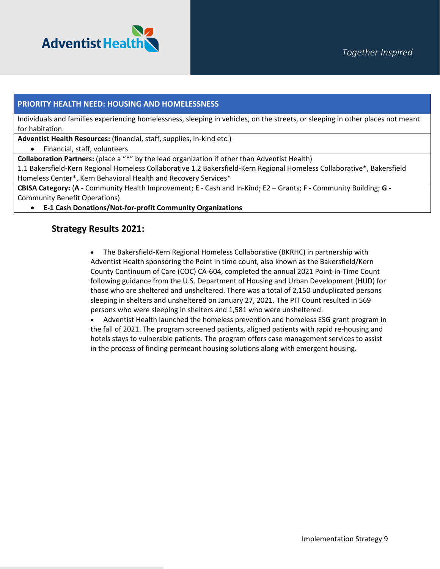

#### **PRIORITY HEALTH NEED: HOUSING AND HOMELESSNESS**

Individuals and families experiencing homelessness, sleeping in vehicles, on the streets, or sleeping in other places not meant for habitation.

**Adventist Health Resources:** (financial, staff, supplies, in-kind etc.)

• Financial, staff, volunteers

**Collaboration Partners:** (place a "\*" by the lead organization if other than Adventist Health)

1.1 Bakersfield-Kern Regional Homeless Collaborative 1.2 Bakersfield-Kern Regional Homeless Collaborative\*, Bakersfield Homeless Center\*, Kern Behavioral Health and Recovery Services\*

**CBISA Category:** (**A -** Community Health Improvement; **E** - Cash and In-Kind; E2 – Grants; **F -** Community Building; **G -** Community Benefit Operations)

#### • **E-1 Cash Donations/Not-for-profit Community Organizations**

#### **Strategy Results 2021:**

• The Bakersfield-Kern Regional Homeless Collaborative (BKRHC) in partnership with Adventist Health sponsoring the Point in time count, also known as the Bakersfield/Kern County Continuum of Care (COC) CA-604, completed the annual 2021 Point-in-Time Count following guidance from the U.S. Department of Housing and Urban Development (HUD) for those who are sheltered and unsheltered. There was a total of 2,150 unduplicated persons sleeping in shelters and unsheltered on January 27, 2021. The PIT Count resulted in 569 persons who were sleeping in shelters and 1,581 who were unsheltered.

• Adventist Health launched the homeless prevention and homeless ESG grant program in the fall of 2021. The program screened patients, aligned patients with rapid re-housing and hotels stays to vulnerable patients. The program offers case management services to assist in the process of finding permeant housing solutions along with emergent housing.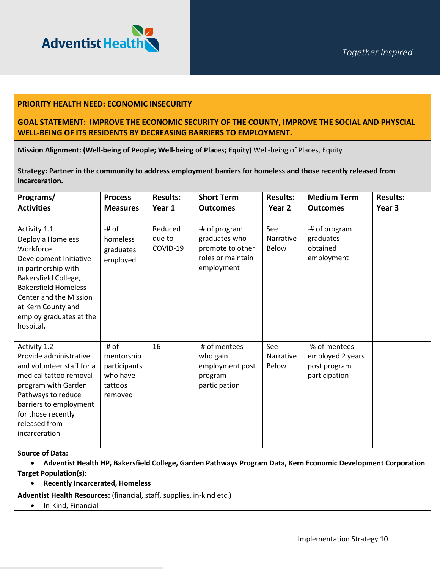



#### **PRIORITY HEALTH NEED: ECONOMIC INSECURITY**

#### **GOAL STATEMENT: IMPROVE THE ECONOMIC SECURITY OF THE COUNTY, IMPROVE THE SOCIAL AND PHYSCIAL WELL-BEING OF ITS RESIDENTS BY DECREASING BARRIERS TO EMPLOYMENT.**

**Mission Alignment: (Well-being of People; Well-being of Places; Equity)** Well-being of Places, Equity

**Strategy: Partner in the community to address employment barriers for homeless and those recently released from incarceration.** 

| Programs/<br><b>Activities</b>                                                                                                                                                                                                                 | <b>Process</b><br><b>Measures</b>                                     | <b>Results:</b><br>Year 1     | <b>Short Term</b><br><b>Outcomes</b>                                                  | <b>Results:</b><br>Year 2        | <b>Medium Term</b><br><b>Outcomes</b>                              | <b>Results:</b><br>Year <sub>3</sub> |
|------------------------------------------------------------------------------------------------------------------------------------------------------------------------------------------------------------------------------------------------|-----------------------------------------------------------------------|-------------------------------|---------------------------------------------------------------------------------------|----------------------------------|--------------------------------------------------------------------|--------------------------------------|
| Activity 1.1<br>Deploy a Homeless<br>Workforce<br>Development Initiative<br>in partnership with<br>Bakersfield College,<br><b>Bakersfield Homeless</b><br>Center and the Mission<br>at Kern County and<br>employ graduates at the<br>hospital. | -# of<br>homeless<br>graduates<br>employed                            | Reduced<br>due to<br>COVID-19 | -# of program<br>graduates who<br>promote to other<br>roles or maintain<br>employment | See<br>Narrative<br><b>Below</b> | -# of program<br>graduates<br>obtained<br>employment               |                                      |
| Activity 1.2<br>Provide administrative<br>and volunteer staff for a<br>medical tattoo removal<br>program with Garden<br>Pathways to reduce<br>barriers to employment<br>for those recently<br>released from<br>incarceration                   | -# of<br>mentorship<br>participants<br>who have<br>tattoos<br>removed | 16                            | -# of mentees<br>who gain<br>employment post<br>program<br>participation              | See<br>Narrative<br><b>Below</b> | -% of mentees<br>employed 2 years<br>post program<br>participation |                                      |

**Source of Data:** 

• **Adventist Health HP, Bakersfield College, Garden Pathways Program Data, Kern Economic Development Corporation**

**Target Population(s):**

#### • **Recently Incarcerated, Homeless**

**Adventist Health Resources:** (financial, staff, supplies, in-kind etc.)

• In-Kind, Financial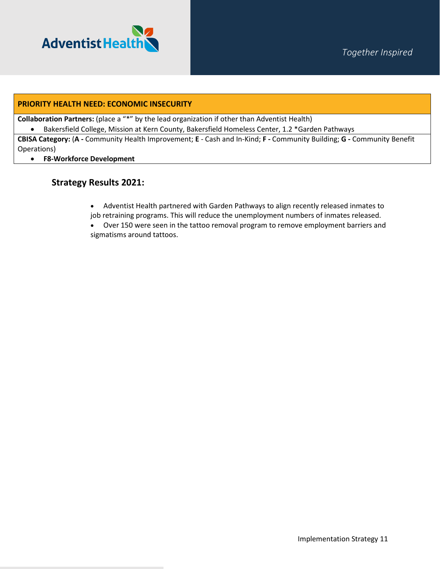

#### **PRIORITY HEALTH NEED: ECONOMIC INSECURITY**

**Collaboration Partners:** (place a "\*" by the lead organization if other than Adventist Health)

• Bakersfield College, Mission at Kern County, Bakersfield Homeless Center, 1.2 \*Garden Pathways

**CBISA Category:** (**A -** Community Health Improvement; **E** - Cash and In-Kind; **F -** Community Building; **G -** Community Benefit Operations)

• **F8-Workforce Development**

## **Strategy Results 2021:**

- Adventist Health partnered with Garden Pathways to align recently released inmates to job retraining programs. This will reduce the unemployment numbers of inmates released.
- Over 150 were seen in the tattoo removal program to remove employment barriers and sigmatisms around tattoos.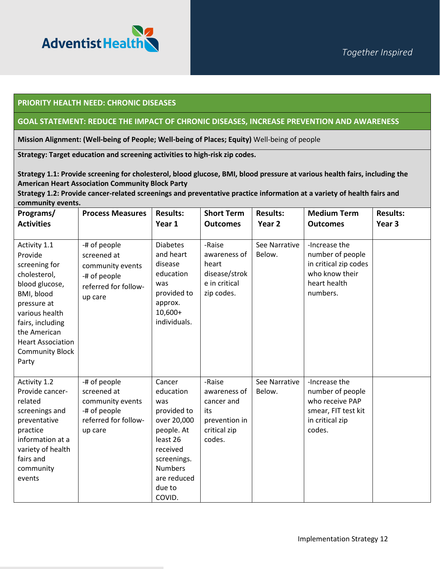

#### **PRIORITY HEALTH NEED: CHRONIC DISEASES**

#### **GOAL STATEMENT: REDUCE THE IMPACT OF CHRONIC DISEASES, INCREASE PREVENTION AND AWARENESS**

**Mission Alignment: (Well-being of People; Well-being of Places; Equity)** Well-being of people

**Strategy: Target education and screening activities to high-risk zip codes.** 

**Strategy 1.1: Provide screening for cholesterol, blood glucose, BMI, blood pressure at various health fairs, including the American Heart Association Community Block Party**

**Strategy 1.2: Provide cancer-related screenings and preventative practice information at a variety of health fairs and community events.**

| Programs/<br><b>Activities</b>                                                                                                                                                                                               | <b>Process Measures</b>                                                                            | <b>Results:</b><br>Year 1                                                                                                                                          | <b>Short Term</b><br><b>Outcomes</b>                                                   | <b>Results:</b><br>Year 2 | <b>Medium Term</b><br><b>Outcomes</b>                                                                    | <b>Results:</b><br>Year <sub>3</sub> |
|------------------------------------------------------------------------------------------------------------------------------------------------------------------------------------------------------------------------------|----------------------------------------------------------------------------------------------------|--------------------------------------------------------------------------------------------------------------------------------------------------------------------|----------------------------------------------------------------------------------------|---------------------------|----------------------------------------------------------------------------------------------------------|--------------------------------------|
| Activity 1.1<br>Provide<br>screening for<br>cholesterol,<br>blood glucose,<br>BMI, blood<br>pressure at<br>various health<br>fairs, including<br>the American<br><b>Heart Association</b><br><b>Community Block</b><br>Party | -# of people<br>screened at<br>community events<br>-# of people<br>referred for follow-<br>up care | <b>Diabetes</b><br>and heart<br>disease<br>education<br>was<br>provided to<br>approx.<br>10,600+<br>individuals.                                                   | -Raise<br>awareness of<br>heart<br>disease/strok<br>e in critical<br>zip codes.        | See Narrative<br>Below.   | -Increase the<br>number of people<br>in critical zip codes<br>who know their<br>heart health<br>numbers. |                                      |
| Activity 1.2<br>Provide cancer-<br>related<br>screenings and<br>preventative<br>practice<br>information at a<br>variety of health<br>fairs and<br>community<br>events                                                        | -# of people<br>screened at<br>community events<br>-# of people<br>referred for follow-<br>up care | Cancer<br>education<br>was<br>provided to<br>over 20,000<br>people. At<br>least 26<br>received<br>screenings.<br><b>Numbers</b><br>are reduced<br>due to<br>COVID. | -Raise<br>awareness of<br>cancer and<br>its<br>prevention in<br>critical zip<br>codes. | See Narrative<br>Below.   | -Increase the<br>number of people<br>who receive PAP<br>smear, FIT test kit<br>in critical zip<br>codes. |                                      |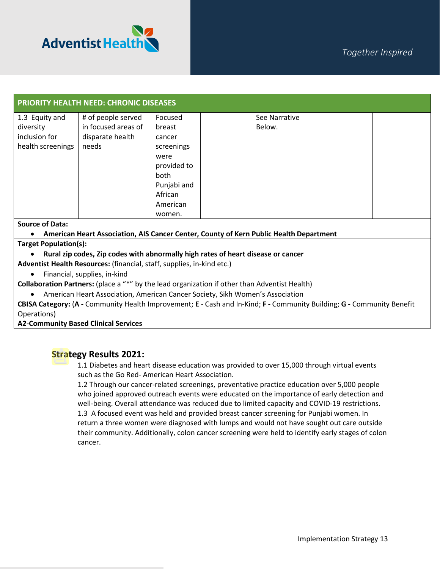

| <b>PRIORITY HEALTH NEED: CHRONIC DISEASES</b> |  |  |  |  |  |  |  |
|-----------------------------------------------|--|--|--|--|--|--|--|
|                                               |  |  |  |  |  |  |  |
|                                               |  |  |  |  |  |  |  |
|                                               |  |  |  |  |  |  |  |
|                                               |  |  |  |  |  |  |  |
|                                               |  |  |  |  |  |  |  |
|                                               |  |  |  |  |  |  |  |
|                                               |  |  |  |  |  |  |  |
|                                               |  |  |  |  |  |  |  |
|                                               |  |  |  |  |  |  |  |
|                                               |  |  |  |  |  |  |  |
|                                               |  |  |  |  |  |  |  |
|                                               |  |  |  |  |  |  |  |

**Source of Data:** 

• **American Heart Association, AIS Cancer Center, County of Kern Public Health Department**

**Target Population(s):**

• **Rural zip codes, Zip codes with abnormally high rates of heart disease or cancer**

**Adventist Health Resources:** (financial, staff, supplies, in-kind etc.)

• Financial, supplies, in-kind

**Collaboration Partners:** (place a "\*" by the lead organization if other than Adventist Health)

• American Heart Association, American Cancer Society, Sikh Women's Association

**CBISA Category:** (**A -** Community Health Improvement; **E** - Cash and In-Kind; **F -** Community Building; **G -** Community Benefit Operations)

**A2-Community Based Clinical Services**

#### **Strategy Results 2021:**

1.1 Diabetes and heart disease education was provided to over 15,000 through virtual events such as the Go Red- American Heart Association.

1.2 Through our cancer-related screenings, preventative practice education over 5,000 people who joined approved outreach events were educated on the importance of early detection and well-being. Overall attendance was reduced due to limited capacity and COVID-19 restrictions. 1.3 A focused event was held and provided breast cancer screening for Punjabi women. In return a three women were diagnosed with lumps and would not have sought out care outside their community. Additionally, colon cancer screening were held to identify early stages of colon cancer.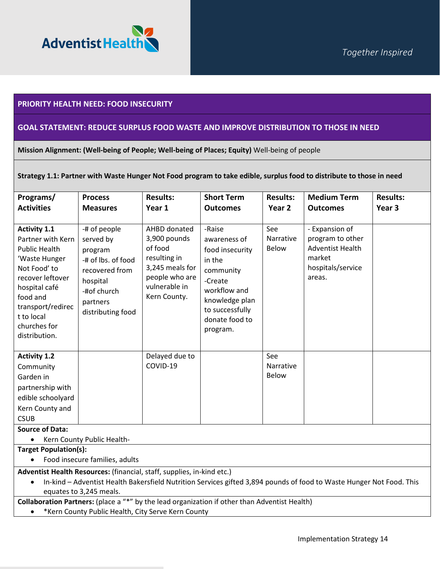

#### **PRIORITY HEALTH NEED: FOOD INSECURITY**

#### **GOAL STATEMENT: REDUCE SURPLUS FOOD WASTE AND IMPROVE DISTRIBUTION TO THOSE IN NEED**

**Mission Alignment: (Well-being of People; Well-being of Places; Equity)** Well-being of people

**Strategy 1.1: Partner with Waste Hunger Not Food program to take edible, surplus food to distribute to those in need**

| Programs/                                                                                                                                                                                                              | <b>Process</b>                                                                                                                           | <b>Results:</b>                                                                                                               | <b>Short Term</b>                                                                                                                                              | <b>Results:</b>                  | <b>Medium Term</b>                                                                                     | <b>Results:</b>   |  |
|------------------------------------------------------------------------------------------------------------------------------------------------------------------------------------------------------------------------|------------------------------------------------------------------------------------------------------------------------------------------|-------------------------------------------------------------------------------------------------------------------------------|----------------------------------------------------------------------------------------------------------------------------------------------------------------|----------------------------------|--------------------------------------------------------------------------------------------------------|-------------------|--|
| <b>Activities</b>                                                                                                                                                                                                      | <b>Measures</b>                                                                                                                          | Year 1                                                                                                                        | <b>Outcomes</b>                                                                                                                                                | Year <sub>2</sub>                | <b>Outcomes</b>                                                                                        | Year <sub>3</sub> |  |
|                                                                                                                                                                                                                        |                                                                                                                                          |                                                                                                                               |                                                                                                                                                                |                                  |                                                                                                        |                   |  |
| <b>Activity 1.1</b><br>Partner with Kern<br><b>Public Health</b><br>'Waste Hunger<br>Not Food' to<br>recover leftover<br>hospital café<br>food and<br>transport/redirec<br>t to local<br>churches for<br>distribution. | -# of people<br>served by<br>program<br>-# of lbs. of food<br>recovered from<br>hospital<br>-#of church<br>partners<br>distributing food | AHBD donated<br>3,900 pounds<br>of food<br>resulting in<br>3,245 meals for<br>people who are<br>vulnerable in<br>Kern County. | -Raise<br>awareness of<br>food insecurity<br>in the<br>community<br>-Create<br>workflow and<br>knowledge plan<br>to successfully<br>donate food to<br>program. | See<br>Narrative<br><b>Below</b> | - Expansion of<br>program to other<br><b>Adventist Health</b><br>market<br>hospitals/service<br>areas. |                   |  |
| <b>Activity 1.2</b><br>Community<br>Garden in<br>partnership with<br>edible schoolyard<br>Kern County and<br><b>CSUB</b>                                                                                               |                                                                                                                                          | Delayed due to<br>COVID-19                                                                                                    |                                                                                                                                                                | See<br>Narrative<br><b>Below</b> |                                                                                                        |                   |  |
| <b>Source of Data:</b>                                                                                                                                                                                                 |                                                                                                                                          |                                                                                                                               |                                                                                                                                                                |                                  |                                                                                                        |                   |  |
| Kern County Public Health-                                                                                                                                                                                             |                                                                                                                                          |                                                                                                                               |                                                                                                                                                                |                                  |                                                                                                        |                   |  |
| <b>Target Population(s):</b><br>Food insecure families, adults                                                                                                                                                         |                                                                                                                                          |                                                                                                                               |                                                                                                                                                                |                                  |                                                                                                        |                   |  |
| Adventist Health Resources: (financial, staff, supplies, in-kind etc.)                                                                                                                                                 |                                                                                                                                          |                                                                                                                               |                                                                                                                                                                |                                  |                                                                                                        |                   |  |
| In-kind - Adventist Health Bakersfield Nutrition Services gifted 3,894 pounds of food to Waste Hunger Not Food. This<br>equates to 3,245 meals.                                                                        |                                                                                                                                          |                                                                                                                               |                                                                                                                                                                |                                  |                                                                                                        |                   |  |
| Collaboration Partners: (place a "*" by the lead organization if other than Adventist Health)                                                                                                                          |                                                                                                                                          |                                                                                                                               |                                                                                                                                                                |                                  |                                                                                                        |                   |  |
| *Kern County Public Health, City Serve Kern County                                                                                                                                                                     |                                                                                                                                          |                                                                                                                               |                                                                                                                                                                |                                  |                                                                                                        |                   |  |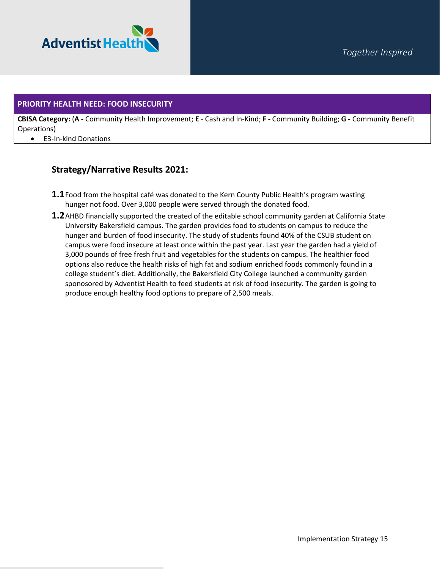

#### **PRIORITY HEALTH NEED: FOOD INSECURITY**

**CBISA Category:** (**A -** Community Health Improvement; **E** - Cash and In-Kind; **F -** Community Building; **G -** Community Benefit Operations)

• E3-In-kind Donations

## **Strategy/Narrative Results 2021:**

- **1.1**Food from the hospital café was donated to the Kern County Public Health's program wasting hunger not food. Over 3,000 people were served through the donated food.
- **1.2**AHBD financially supported the created of the editable school community garden at California State University Bakersfield campus. The garden provides food to students on campus to reduce the hunger and burden of food insecurity. The study of students found 40% of the CSUB student on campus were food insecure at least once within the past year. Last year the garden had a yield of 3,000 pounds of free fresh fruit and vegetables for the students on campus. The healthier food options also reduce the health risks of high fat and sodium enriched foods commonly found in a college student's diet. Additionally, the Bakersfield City College launched a community garden sponosored by Adventist Health to feed students at risk of food insecurity. The garden is going to produce enough healthy food options to prepare of 2,500 meals.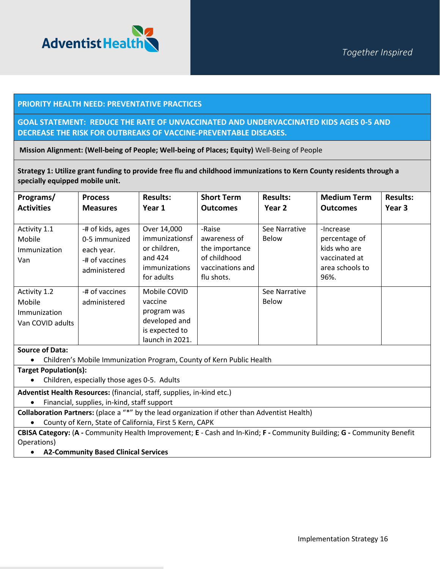

#### **PRIORITY HEALTH NEED: PREVENTATIVE PRACTICES**

#### **GOAL STATEMENT: REDUCE THE RATE OF UNVACCINATED AND UNDERVACCINATED KIDS AGES 0-5 AND DECREASE THE RISK FOR OUTBREAKS OF VACCINE-PREVENTABLE DISEASES.**

**Mission Alignment: (Well-being of People; Well-being of Places; Equity)** Well-Being of People

**Strategy 1: Utilize grant funding to provide free flu and childhood immunizations to Kern County residents through a specially equipped mobile unit.**

| Programs/                                                         | <b>Process</b>                                                                    | <b>Results:</b>                                                                              | <b>Short Term</b>                                                                          | <b>Results:</b>               | <b>Medium Term</b>                                                                     | <b>Results:</b>   |
|-------------------------------------------------------------------|-----------------------------------------------------------------------------------|----------------------------------------------------------------------------------------------|--------------------------------------------------------------------------------------------|-------------------------------|----------------------------------------------------------------------------------------|-------------------|
| <b>Activities</b>                                                 | <b>Measures</b>                                                                   | Year 1                                                                                       | <b>Outcomes</b>                                                                            | Year 2                        | <b>Outcomes</b>                                                                        | Year <sub>3</sub> |
| Activity 1.1<br>Mobile<br><i>Immunization</i><br>Van              | -# of kids, ages<br>0-5 immunized<br>each year.<br>-# of vaccines<br>administered | Over 14,000<br>immunizationsf<br>or children,<br>and $424$<br>immunizations<br>for adults    | -Raise<br>awareness of<br>the importance<br>of childhood<br>vaccinations and<br>flu shots. | See Narrative<br><b>Below</b> | -Increase<br>percentage of<br>kids who are<br>vaccinated at<br>area schools to<br>96%. |                   |
| Activity 1.2<br>Mobile<br><b>Immunization</b><br>Van COVID adults | -# of vaccines<br>administered                                                    | Mobile COVID<br>vaccine<br>program was<br>developed and<br>is expected to<br>launch in 2021. |                                                                                            | See Narrative<br>Below        |                                                                                        |                   |

#### **Source of Data:**

• Children's Mobile Immunization Program, County of Kern Public Health

#### **Target Population(s):**

• Children, especially those ages 0-5. Adults

**Adventist Health Resources:** (financial, staff, supplies, in-kind etc.)

• Financial, supplies, in-kind, staff support

**Collaboration Partners:** (place a "\*" by the lead organization if other than Adventist Health)

• County of Kern, State of California, First 5 Kern, CAPK

**CBISA Category:** (**A -** Community Health Improvement; **E** - Cash and In-Kind; **F -** Community Building; **G -** Community Benefit Operations)

• **A2-Community Based Clinical Services**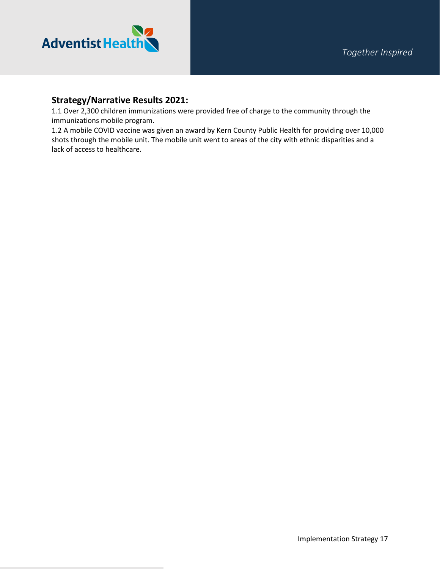



## **Strategy/Narrative Results 2021:**

1.1 Over 2,300 children immunizations were provided free of charge to the community through the immunizations mobile program.

1.2 A mobile COVID vaccine was given an award by Kern County Public Health for providing over 10,000 shots through the mobile unit. The mobile unit went to areas of the city with ethnic disparities and a lack of access to healthcare.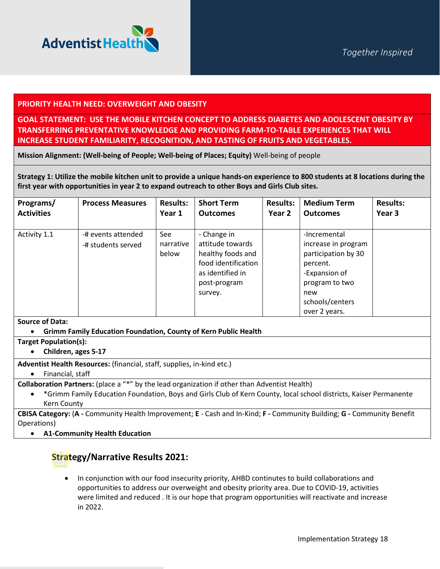

#### **PRIORITY HEALTH NEED: OVERWEIGHT AND OBESITY**

## **GOAL STATEMENT: USE THE MOBILE KITCHEN CONCEPT TO ADDRESS DIABETES AND ADOLESCENT OBESITY BY TRANSFERRING PREVENTATIVE KNOWLEDGE AND PROVIDING FARM-TO-TABLE EXPERIENCES THAT WILL INCREASE STUDENT FAMILIARITY, RECOGNITION, AND TASTING OF FRUITS AND VEGETABLES.**

**Mission Alignment: (Well-being of People; Well-being of Places; Equity)** Well-being of people

**Strategy 1: Utilize the mobile kitchen unit to provide a unique hands-on experience to 800 students at 8 locations during the first year with opportunities in year 2 to expand outreach to other Boys and Girls Club sites.**

| Programs/         | <b>Process Measures</b>                  | <b>Results:</b>           | <b>Short Term</b>                                                                                                          | <b>Results:</b> | <b>Medium Term</b>                                                                                                                                   | <b>Results:</b> |
|-------------------|------------------------------------------|---------------------------|----------------------------------------------------------------------------------------------------------------------------|-----------------|------------------------------------------------------------------------------------------------------------------------------------------------------|-----------------|
| <b>Activities</b> |                                          | Year 1                    | <b>Outcomes</b>                                                                                                            | Year 2          | <b>Outcomes</b>                                                                                                                                      | Year 3          |
| Activity 1.1      | -# events attended<br>-# students served | See<br>narrative<br>below | - Change in<br>attitude towards<br>healthy foods and<br>food identification<br>as identified in<br>post-program<br>survey. |                 | -Incremental<br>increase in program<br>participation by 30<br>percent.<br>-Expansion of<br>program to two<br>new<br>schools/centers<br>over 2 years. |                 |

#### **Source of Data:**

- **Grimm Family Education Foundation, County of Kern Public Health**
- **Target Population(s):**
- **Children, ages 5-17**

**Adventist Health Resources:** (financial, staff, supplies, in-kind etc.)

• Financial, staff

**Collaboration Partners:** (place a "\*" by the lead organization if other than Adventist Health)

• \*Grimm Family Education Foundation, Boys and Girls Club of Kern County, local school districts, Kaiser Permanente Kern County

**CBISA Category:** (**A -** Community Health Improvement; **E** - Cash and In-Kind; **F -** Community Building; **G -** Community Benefit Operations)

• **A1-Community Health Education** 

### **Strategy/Narrative Results 2021:**

• In conjunction with our food insecurity priority, AHBD continutes to build collaborations and opportunities to address our overweight and obesity priority area. Due to COVID-19, activities were limited and reduced . It is our hope that program opportunities will reactivate and increase in 2022.